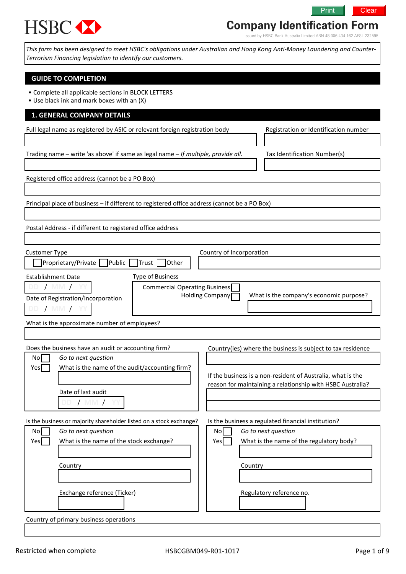# **HSBC XX**

## **Company Identification Form**

Issued by HSBC Bank Australia Limited ABN 48 006 434 162 AFSL 232595

Print **Clear** 

This form has been designed to meet HSBC's obligations under Australian and Hong Kong Anti-Money Laundering and Counter-Terrorism Financing legislation to identify our customers.

#### GUIDE TO COMPLETION

- Complete all applicable sections in BLOCK LETTERS
- Use black ink and mark boxes with an (X)

#### 1. GENERAL COMPANY DETAILS

Full legal name as registered by ASIC or relevant foreign registration body Registration or Identification number

Trading name – write 'as above' if same as legal name – If multiple, provide all. Tax Identification Number(s)

Registered office address (cannot be a PO Box)

Principal place of business – if different to registered office address (cannot be a PO Box)

Postal Address - if different to registered office address

| <b>Customer Type</b><br>Proprietary/Private Public<br><b>Trust</b>                                     | Country of Incorporation<br>Other                                                                                         |
|--------------------------------------------------------------------------------------------------------|---------------------------------------------------------------------------------------------------------------------------|
| Type of Business<br><b>Establishment Date</b>                                                          |                                                                                                                           |
| <b>MM</b><br>Date of Registration/Incorporation<br>' MM 7                                              | Commercial Operating Business<br>Holding Company<br>What is the company's economic purpose?                               |
| What is the approximate number of employees?                                                           |                                                                                                                           |
|                                                                                                        |                                                                                                                           |
| Does the business have an audit or accounting firm?                                                    | Country(ies) where the business is subject to tax residence                                                               |
| Go to next question<br>Nol                                                                             |                                                                                                                           |
| What is the name of the audit/accounting firm?<br>Yesl                                                 | If the business is a non-resident of Australia, what is the<br>reason for maintaining a relationship with HSBC Australia? |
| Date of last audit<br>MM /                                                                             |                                                                                                                           |
| Is the business or majority shareholder listed on a stock exchange?<br>$N \cap$<br>Go to next question | Is the business a regulated financial institution?<br>$N \cap I$<br>Go to next question                                   |

| No   | Go to next question                     | Nol | Go to next question                      |
|------|-----------------------------------------|-----|------------------------------------------|
| Yesl | What is the name of the stock exchange? | Yes | What is the name of the regulatory body? |
|      |                                         |     |                                          |
|      | Country                                 |     | Country                                  |
|      |                                         |     |                                          |
|      |                                         |     |                                          |
|      | Exchange reference (Ticker)             |     | Regulatory reference no.                 |
|      |                                         |     |                                          |
|      |                                         |     |                                          |

Country of primary business operations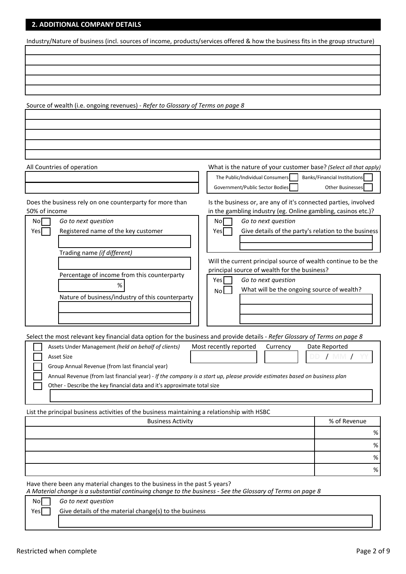#### 2. ADDITIONAL COMPANY DETAILS

Industry/Nature of business (incl. sources of income, products/services offered & how the business fits in the group structure)

Source of wealth (i.e. ongoing revenues) - Refer to Glossary of Terms on page 8

All Countries of operation **Music Equation** What is the nature of your customer base? (Select all that apply) The Public/Individual Consumers Banks/Financial Institutions Government/Public Sector Bodies **Other Businesses**  $N\circ$  Go to next question  $N\circ$   $N\circ$  Go to next question Yes Registered name of the key customer  $\vert$  Yes Give details of the party's relation to the business Nature of business/industry of this counterparty Select the most relevant key financial data option for the business and provide details - Refer Glossary of Terms on page 8 Assets Under Management (held on behalf of clients) Most recently reported Currency Date Reported Asset Size Group Annual Revenue (from last financial year) Annual Revenue (from last financial year) - If the company is a start up, please provide estimates based on business plan Other - Describe the key financial data and it's approximate total size % % % % Does the business rely on one counterparty for more than 50% of income in the gambling industry (eg. Online gambling, casinos etc.)? Trading name (if different) Percentage of income from this counterparty Yes Go to next question  $N_0$  What will be the ongoing source of wealth? DD / MM / YY Business Activity **Business Activity 8 Activity 8 Activity 8 Activity 8 Activity 8 Activity 8 Activity 8 Activity 8 Activity 8 Activity 8 Activity 8 Activity 8 Activity 8 Activity 8 Activity 8** % List the principal business activities of the business maintaining a relationship with HSBC Is the business or, are any of it's connected parties, involved Will the current principal source of wealth continue to be the principal source of wealth for the business?

Have there been any material changes to the business in the past 5 years?

A Material change is a substantial continuing change to the business - See the Glossary of Terms on page 8

| Nol  | Go to next question                                    |  |
|------|--------------------------------------------------------|--|
| Yesl | Give details of the material change(s) to the business |  |
|      |                                                        |  |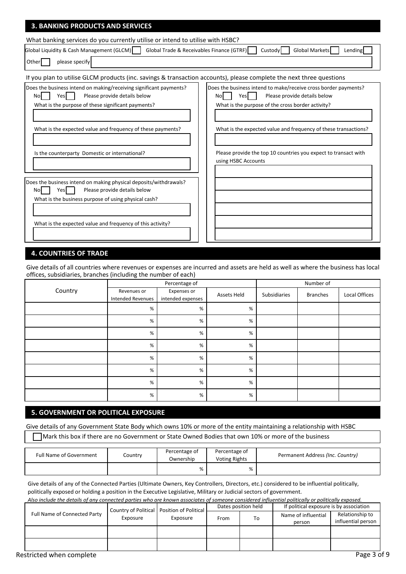| <b>3. BANKING PRODUCTS AND SERVICES</b>                                                                                                                                                                                                                                                       |                                                                                                                                                                                                                                                                                                                                 |  |  |  |  |  |
|-----------------------------------------------------------------------------------------------------------------------------------------------------------------------------------------------------------------------------------------------------------------------------------------------|---------------------------------------------------------------------------------------------------------------------------------------------------------------------------------------------------------------------------------------------------------------------------------------------------------------------------------|--|--|--|--|--|
| What banking services do you currently utilise or intend to utilise with HSBC?                                                                                                                                                                                                                |                                                                                                                                                                                                                                                                                                                                 |  |  |  |  |  |
| Global Liquidity & Cash Management (GLCM)<br>Global Trade & Receivables Finance (GTRF)                                                                                                                                                                                                        | Global Markets<br>Lending<br>Custody                                                                                                                                                                                                                                                                                            |  |  |  |  |  |
| please specify<br>Other                                                                                                                                                                                                                                                                       |                                                                                                                                                                                                                                                                                                                                 |  |  |  |  |  |
| If you plan to utilise GLCM products (inc. savings & transaction accounts), please complete the next three questions                                                                                                                                                                          |                                                                                                                                                                                                                                                                                                                                 |  |  |  |  |  |
| Does the business intend on making/receiving significant payments?<br>Yes<br>Please provide details below<br><b>No</b><br>What is the purpose of these significant payments?<br>What is the expected value and frequency of these payments?<br>Is the counterparty Domestic or international? | Does the business intend to make/receive cross border payments?<br>Please provide details below<br>Yes<br>Nol<br>What is the purpose of the cross border activity?<br>What is the expected value and frequency of these transactions?<br>Please provide the top 10 countries you expect to transact with<br>using HSBC Accounts |  |  |  |  |  |
| Does the business intend on making physical deposits/withdrawals?<br>Please provide details below<br><b>No</b><br>Yes<br>What is the business purpose of using physical cash?<br>What is the expected value and frequency of this activity?                                                   |                                                                                                                                                                                                                                                                                                                                 |  |  |  |  |  |

#### **4. COUNTRIES OF TRADE**

Give details of all countries where revenues or expenses are incurred and assets are held as well as where the business has local offices, subsidiaries, branches (including the number of each)

|         | $\cdot$<br>Ğ                            | $\overline{\phantom{a}}$<br>Percentage of |             | Number of    |                 |               |
|---------|-----------------------------------------|-------------------------------------------|-------------|--------------|-----------------|---------------|
| Country | Revenues or<br><b>Intended Revenues</b> | Expenses or<br>intended expenses          | Assets Held | Subsidiaries | <b>Branches</b> | Local Offices |
|         | %                                       | %                                         | %           |              |                 |               |
|         | %                                       | %                                         | $\%$        |              |                 |               |
|         | %                                       | %                                         | $\%$        |              |                 |               |
|         | %                                       | %                                         | $\%$        |              |                 |               |
|         | $\%$                                    | $\%$                                      | %           |              |                 |               |
|         | %                                       | %                                         | %           |              |                 |               |
|         | %                                       | %                                         | $\%$        |              |                 |               |
|         | $\%$                                    | $\%$                                      | %           |              |                 |               |

#### **5. GOVERNMENT OR POLITICAL EXPOSURE**

Give details of any Government State Body which owns 10% or more of the entity maintaining a relationship with HSBC Mark this box if there are no Government or State Owned Bodies that own 10% or more of the business

| <b>Full Name of Government</b> | Country | Percentage of<br>Ownership | Percentage of<br><b>Voting Rights</b> | Permanent Address (Inc. Country) |
|--------------------------------|---------|----------------------------|---------------------------------------|----------------------------------|
|                                |         | %                          | %                                     |                                  |

Give details of any of the Connected Parties (Ultimate Owners, Key Controllers, Directors, etc.) considered to be influential politically, politically exposed or holding a position in the Executive Legislative, Military or Judicial sectors of government.

| Also include the details of any connected parties who are known associates of someone considered influential politically or politically exposed. |                                                                      |  |                     |    |                                         |                                       |  |  |
|--------------------------------------------------------------------------------------------------------------------------------------------------|----------------------------------------------------------------------|--|---------------------|----|-----------------------------------------|---------------------------------------|--|--|
|                                                                                                                                                  |                                                                      |  | Dates position held |    | If political exposure is by association |                                       |  |  |
| Full Name of Connected Party                                                                                                                     | Country of Political   Position of Political<br>Exposure<br>Exposure |  | From                | To | Name of influential<br>person           | Relationship to<br>influential person |  |  |
|                                                                                                                                                  |                                                                      |  |                     |    |                                         |                                       |  |  |
|                                                                                                                                                  |                                                                      |  |                     |    |                                         |                                       |  |  |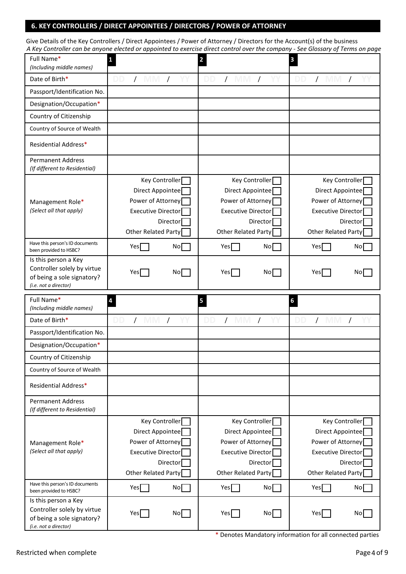#### 6. KEY CONTROLLERS / DIRECT APPOINTEES / DIRECTORS / POWER OF ATTORNEY

| Give Details of the Key Controllers / Direct Appointees / Power of Attorney / Directors for the Account(s) of the business      |
|---------------------------------------------------------------------------------------------------------------------------------|
| A Key Controller can be anyone elected or appointed to exercise direct control over the company - See Glossary of Terms on page |

| wey controller can be anyone elected or ap-<br>Full Name*<br>(Including middle names)                      | 1                                                                                                           |                 | $\overline{\mathbf{2}}$                                                                                            |          | 3                                                                                                                  |          |
|------------------------------------------------------------------------------------------------------------|-------------------------------------------------------------------------------------------------------------|-----------------|--------------------------------------------------------------------------------------------------------------------|----------|--------------------------------------------------------------------------------------------------------------------|----------|
| Date of Birth*                                                                                             | DD<br>$\prime$                                                                                              | $\prime$        | $\prime$                                                                                                           | $\prime$ | $\prime$<br>IVI VI                                                                                                 | $\prime$ |
| Passport/Identification No.                                                                                |                                                                                                             |                 |                                                                                                                    |          |                                                                                                                    |          |
| Designation/Occupation*                                                                                    |                                                                                                             |                 |                                                                                                                    |          |                                                                                                                    |          |
| Country of Citizenship                                                                                     |                                                                                                             |                 |                                                                                                                    |          |                                                                                                                    |          |
| Country of Source of Wealth                                                                                |                                                                                                             |                 |                                                                                                                    |          |                                                                                                                    |          |
| Residential Address*                                                                                       |                                                                                                             |                 |                                                                                                                    |          |                                                                                                                    |          |
| <b>Permanent Address</b><br>(If different to Residential)                                                  |                                                                                                             |                 |                                                                                                                    |          |                                                                                                                    |          |
| Management Role*<br>(Select all that apply)                                                                | <b>Key Controller</b><br>Direct Appointee<br>Power of Attorney<br>Executive Director<br>Other Related Party | Director        | <b>Key Controller</b><br>Direct Appointee<br>Power of Attorney<br><b>Executive Director</b><br>Other Related Party | Director | <b>Key Controller</b><br>Direct Appointee<br>Power of Attorney<br><b>Executive Director</b><br>Other Related Party | Director |
| Have this person's ID documents<br>been provided to HSBC?                                                  | Yes                                                                                                         | No <sub>1</sub> | Yes                                                                                                                | No       | Yes                                                                                                                | No       |
| Is this person a Key<br>Controller solely by virtue<br>of being a sole signatory?<br>(i.e. not a director) | Yes                                                                                                         | No <sub>l</sub> | Yesl                                                                                                               | Nol      | Yes                                                                                                                | No       |
|                                                                                                            |                                                                                                             |                 |                                                                                                                    |          |                                                                                                                    |          |
| Full Name*<br>(Including middle names)                                                                     | 4                                                                                                           |                 | 5                                                                                                                  |          | 6                                                                                                                  |          |
| Date of Birth*                                                                                             | DD<br>IVI VI                                                                                                |                 | DD                                                                                                                 |          | IVI VI                                                                                                             |          |
| Passport/Identification No.                                                                                |                                                                                                             |                 |                                                                                                                    |          |                                                                                                                    |          |
| Designation/Occupation*                                                                                    |                                                                                                             |                 |                                                                                                                    |          |                                                                                                                    |          |
| Country of Citizenship                                                                                     |                                                                                                             |                 |                                                                                                                    |          |                                                                                                                    |          |
| Country of Source of Wealth                                                                                |                                                                                                             |                 |                                                                                                                    |          |                                                                                                                    |          |
| Residential Address*                                                                                       |                                                                                                             |                 |                                                                                                                    |          |                                                                                                                    |          |
| <b>Permanent Address</b><br>(If different to Residential)                                                  |                                                                                                             |                 |                                                                                                                    |          |                                                                                                                    |          |
| Management Role*<br>(Select all that apply)                                                                | Key Controller<br>Direct Appointee<br>Power of Attorney<br><b>Executive Director</b><br>Other Related Party | Director        | <b>Key Controller</b><br>Direct Appointee<br>Power of Attorney<br><b>Executive Director</b><br>Other Related Party | Director | <b>Key Controller</b><br>Direct Appointee<br>Power of Attorney<br><b>Executive Director</b><br>Other Related Party | Director |
| Have this person's ID documents<br>been provided to HSBC?                                                  | Yes                                                                                                         | No <sub>1</sub> | Yes                                                                                                                | No       | Yes                                                                                                                | No       |

\* Denotes Mandatory information for all connected parties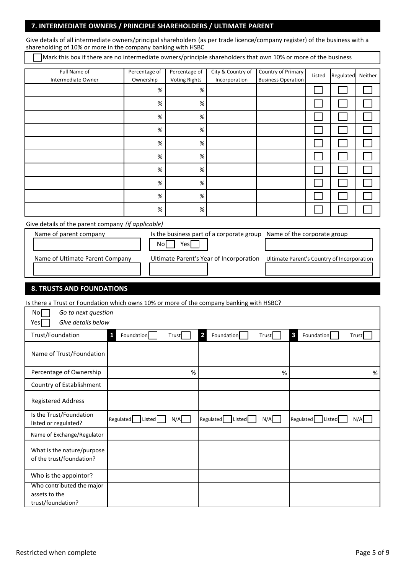#### 7. INTERMEDIATE OWNERS / PRINCIPLE SHAREHOLDERS / ULTIMATE PARENT

shareholding of 10% or more in the company banking with HSBC Give details of all intermediate owners/principal shareholders (as per trade licence/company register) of the business with a

Mark this box if there are no intermediate owners/principle shareholders that own 10% or more of the business

| Full Name of<br>Intermediate Owner | Percentage of<br>Ownership | Percentage of<br><b>Voting Rights</b> | City & Country of<br>Incorporation | Country of Primary<br><b>Business Operation</b> | Listed | Regulated | Neither |
|------------------------------------|----------------------------|---------------------------------------|------------------------------------|-------------------------------------------------|--------|-----------|---------|
|                                    |                            |                                       |                                    |                                                 |        |           |         |
|                                    | $\%$                       | $\%$                                  |                                    |                                                 |        |           |         |
|                                    | $\%$                       | $\%$                                  |                                    |                                                 |        |           |         |
|                                    | $\%$                       | %                                     |                                    |                                                 |        |           |         |
|                                    | %                          | $\%$                                  |                                    |                                                 |        |           |         |
|                                    | $\%$                       | %                                     |                                    |                                                 |        |           |         |
|                                    | $\%$                       | %                                     |                                    |                                                 |        |           |         |
|                                    | $\%$                       | $\%$                                  |                                    |                                                 |        |           |         |
|                                    | $\%$                       | %                                     |                                    |                                                 |        |           |         |
|                                    | $\%$                       | %                                     |                                    |                                                 |        |           |         |
|                                    | $\%$                       | %                                     |                                    |                                                 |        |           |         |

Give details of the parent company *(if applicable)*

| Name of parent company          | Is the business part of a corporate group<br>No.<br>Yesl | Name of the corporate group                |
|---------------------------------|----------------------------------------------------------|--------------------------------------------|
| Name of Ultimate Parent Company | Ultimate Parent's Year of Incorporation                  | Ultimate Parent's Country of Incorporation |

#### 8. TRUSTS AND FOUNDATIONS

Is there a Trust or Foundation which owns 10% or more of the company banking with HSBC?

| Go to next question<br>No<br>Give details below<br>Yes          |                     |       |                              |       |                                       |       |
|-----------------------------------------------------------------|---------------------|-------|------------------------------|-------|---------------------------------------|-------|
| Trust/Foundation                                                | Foundation<br>1     | Trust | $\overline{2}$<br>Foundation | Trust | $\overline{\mathbf{3}}$<br>Foundation | Trust |
| Name of Trust/Foundation                                        |                     |       |                              |       |                                       |       |
| Percentage of Ownership                                         |                     | %     |                              | %     |                                       | %     |
| Country of Establishment                                        |                     |       |                              |       |                                       |       |
| <b>Registered Address</b>                                       |                     |       |                              |       |                                       |       |
| Is the Trust/Foundation<br>listed or regulated?                 | Regulated<br>Listed | N/A   | Regulated<br>Listed          | N/A   | Regulated<br>Listed                   | N/A   |
| Name of Exchange/Regulator                                      |                     |       |                              |       |                                       |       |
| What is the nature/purpose<br>of the trust/foundation?          |                     |       |                              |       |                                       |       |
| Who is the appointor?                                           |                     |       |                              |       |                                       |       |
| Who contributed the major<br>assets to the<br>trust/foundation? |                     |       |                              |       |                                       |       |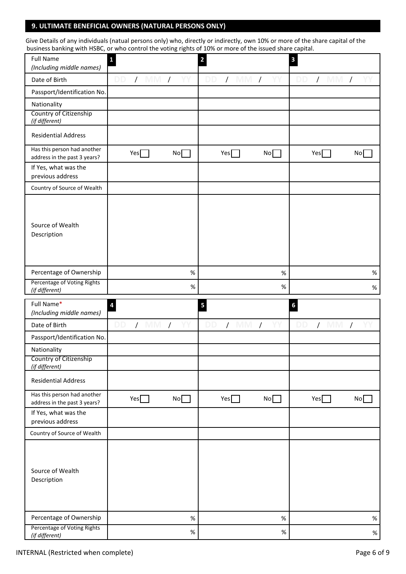#### **9. ULTIMATE BENEFICIAL OWNERS (NATURAL PERSONS ONLY)**

Give Details of any individuals (natual persons only) who, directly or indirectly, own 10% or more of the share capital of the business banking with HSBC, or who control the voting rights of 10% or more of the issued share capital.

| <b>Full Name</b><br>(Including middle names)                | $\mathbf{1}$             |                  | $\overline{\mathbf{c}}$ |            | $\mathbf{3}$                  |                 |
|-------------------------------------------------------------|--------------------------|------------------|-------------------------|------------|-------------------------------|-----------------|
| Date of Birth                                               | DD.<br>/ MM              | $\sqrt{ }$<br>YY | DD<br>$/$ MM $/$        | Υ          | DD.<br>$/$ MM                 | $\sqrt{2}$      |
| Passport/Identification No.                                 |                          |                  |                         |            |                               |                 |
| Nationality                                                 |                          |                  |                         |            |                               |                 |
| Country of Citizenship<br>(if different)                    |                          |                  |                         |            |                               |                 |
| <b>Residential Address</b>                                  |                          |                  |                         |            |                               |                 |
| Has this person had another<br>address in the past 3 years? | Yes                      | No               | Yes                     | No         | Yes                           | No              |
| If Yes, what was the                                        |                          |                  |                         |            |                               |                 |
| previous address                                            |                          |                  |                         |            |                               |                 |
| Country of Source of Wealth                                 |                          |                  |                         |            |                               |                 |
| Source of Wealth<br>Description                             |                          |                  |                         |            |                               |                 |
| Percentage of Ownership                                     |                          | $\%$             |                         | $\%$       |                               | $\%$            |
| Percentage of Voting Rights<br>(if different)               |                          | $\%$             |                         | $\%$       |                               | $\%$            |
| Full Name*<br>(Including middle names)                      | $\overline{\mathbf{a}}$  |                  | 5                       |            | $\boldsymbol{6}$              |                 |
|                                                             |                          |                  |                         |            |                               |                 |
| Date of Birth                                               | <b>DD</b><br>$\sqrt{MN}$ | YY<br>$\sqrt{ }$ | $\sqrt{MN}$<br>DD       | $\sqrt{ }$ | $\sqrt{2}$<br>DD<br><b>MM</b> | $\prime$        |
| Passport/Identification No.                                 |                          |                  |                         |            |                               |                 |
| Nationality                                                 |                          |                  |                         |            |                               |                 |
| Country of Citizenship<br>(if different)                    |                          |                  |                         |            |                               |                 |
| <b>Residential Address</b>                                  |                          |                  |                         |            |                               |                 |
| Has this person had another<br>address in the past 3 years? | Yes                      | No               | Yes                     | No         | Yes                           | No <sub>1</sub> |
| If Yes, what was the                                        |                          |                  |                         |            |                               |                 |
| previous address<br>Country of Source of Wealth             |                          |                  |                         |            |                               |                 |
| Source of Wealth<br>Description                             |                          |                  |                         |            |                               |                 |
| Percentage of Ownership                                     |                          | $\%$             |                         | $\%$       |                               | $\%$            |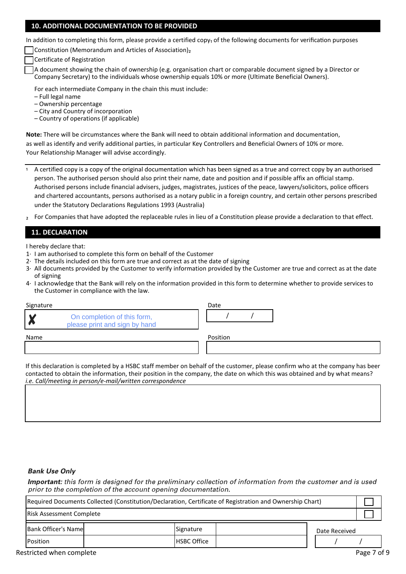#### **10. ADDITIONAL DOCUMENTATION TO BE PROVIDED**

In addition to completing this form, please provide a certified copy<sub>1</sub> of the following documents for verification purposes

Constitution (Memorandum and Articles of Association)₂

Certificate of Registration

A document showing the chain of ownership (e.g. organisation chart or comparable document signed by a Director or Company Secretary) to the individuals whose ownership equals 10% or more (Ultimate Beneficial Owners).

For each intermediate Company in the chain this must include:

– Full legal name

– Ownership percentage

– City and Country of incorporation

– Country of operations (if applicable)

**Note:** There will be circumstances where the Bank will need to obtain additional information and documentation, as well as identify and verify additional parties, in particular Key Controllers and Beneficial Owners of 10% or more. Your Relationship Manager will advise accordingly.

- ₁ A certified copy is a copy of the original documentation which has been signed as a true and correct copy by an authorised person. The authorised person should also print their name, date and position and if possible affix an official stamp. Authorised persons include financial advisers, judges, magistrates, justices of the peace, lawyers/solicitors, police officers and chartered accountants, persons authorised as a notary public in a foreign country, and certain other persons prescribed under the Statutory Declarations Regulations 1993 (Australia)
- ₂ For Companies that have adopted the replaceable rules in lieu of a Constitution please provide a declaration to that effect.

#### **11. DECLARATION**

I hereby declare that:

- 1· I am authorised to complete this form on behalf of the Customer
- 2· The details included on this form are true and correct as at the date of signing
- 3· All documents provided by the Customer to verify information provided by the Customer are true and correct as at the date of signing
- 4· I acknowledge that the Bank will rely on the information provided in this form to determine whether to provide services to the Customer in compliance with the law.

| Signature                                                         | Date     |
|-------------------------------------------------------------------|----------|
| On completion of this form,<br>W<br>please print and sign by hand |          |
| Name                                                              | Position |
|                                                                   |          |

If this declaration is completed by a HSBC staff member on behalf of the customer, please confirm who at the company has been contacted to obtain the information, their position in the company, the date on which this was obtained and by what means? *i.e. Call/meeting in person/e-mail/written correspondence*

#### **Bank Use Only**

**Important:** this form is designed for the preliminary collection of information from the customer and is used prior to the completion of the account opening documentation.

| Required Documents Collected (Constitution/Declaration, Certificate of Registration and Ownership Chart) |  |                    |               |  |
|----------------------------------------------------------------------------------------------------------|--|--------------------|---------------|--|
| <b>Risk Assessment Complete</b>                                                                          |  |                    |               |  |
| Bank Officer's Name                                                                                      |  | Signature          | Date Received |  |
| Position                                                                                                 |  | <b>HSBC Office</b> |               |  |

Restricted when complete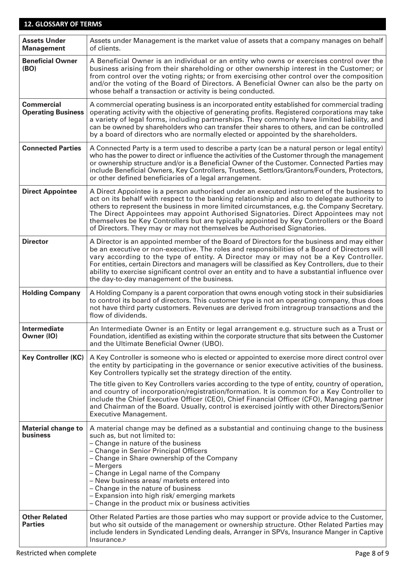### **12. GLOSSARY OF TERMS**

| <b>Assets Under</b><br><b>Management</b>       | Assets under Management is the market value of assets that a company manages on behalf<br>of clients.                                                                                                                                                                                                                                                                                                                                                                                                                                                   |
|------------------------------------------------|---------------------------------------------------------------------------------------------------------------------------------------------------------------------------------------------------------------------------------------------------------------------------------------------------------------------------------------------------------------------------------------------------------------------------------------------------------------------------------------------------------------------------------------------------------|
| <b>Beneficial Owner</b><br>(BO)                | A Beneficial Owner is an individual or an entity who owns or exercises control over the<br>business arising from their shareholding or other ownership interest in the Customer; or<br>from control over the voting rights; or from exercising other control over the composition<br>and/or the voting of the Board of Directors. A Beneficial Owner can also be the party on<br>whose behalf a transaction or activity is being conducted.                                                                                                             |
| <b>Commercial</b><br><b>Operating Business</b> | A commercial operating business is an incorporated entity established for commercial trading<br>operating activity with the objective of generating profits. Registered corporations may take<br>a variety of legal forms, including partnerships. They commonly have limited liability, and<br>can be owned by shareholders who can transfer their shares to others, and can be controlled<br>by a board of directors who are normally elected or appointed by the shareholders.                                                                       |
| <b>Connected Parties</b>                       | A Connected Party is a term used to describe a party (can be a natural person or legal entity)<br>who has the power to direct or influence the activities of the Customer through the management<br>or ownership structure and/or is a Beneficial Owner of the Customer. Connected Parties may<br>include Beneficial Owners, Key Controllers, Trustees, Settlors/Grantors/Founders, Protectors,<br>or other defined beneficiaries of a legal arrangement.                                                                                               |
| <b>Direct Appointee</b>                        | A Direct Appointee is a person authorised under an executed instrument of the business to<br>act on its behalf with respect to the banking relationship and also to delegate authority to<br>others to represent the business in more limited circumstances, e.g. the Company Secretary.<br>The Direct Appointees may appoint Authorised Signatories. Direct Appointees may not<br>themselves be Key Controllers but are typically appointed by Key Controllers or the Board<br>of Directors. They may or may not themselves be Authorised Signatories. |
| <b>Director</b>                                | A Director is an appointed member of the Board of Directors for the business and may either<br>be an executive or non-executive. The roles and responsibilities of a Board of Directors will<br>vary according to the type of entity. A Director may or may not be a Key Controller.<br>For entities, certain Directors and managers will be classified as Key Controllers, due to their<br>ability to exercise significant control over an entity and to have a substantial influence over<br>the day-to-day management of the business.               |
| <b>Holding Company</b>                         | A Holding Company is a parent corporation that owns enough voting stock in their subsidiaries<br>to control its board of directors. This customer type is not an operating company, thus does<br>not have third party customers. Revenues are derived from intragroup transactions and the<br>flow of dividends.                                                                                                                                                                                                                                        |
| Intermediate<br>Owner (IO)                     | An Intermediate Owner is an Entity or legal arrangement e.g. structure such as a Trust or<br>Foundation, identified as existing within the corporate structure that sits between the Customer<br>and the Ultimate Beneficial Owner (UBO).                                                                                                                                                                                                                                                                                                               |
| <b>Key Controller (KC)</b>                     | A Key Controller is someone who is elected or appointed to exercise more direct control over<br>the entity by participating in the governance or senior executive activities of the business.<br>Key Controllers typically set the strategy direction of the entity.                                                                                                                                                                                                                                                                                    |
|                                                | The title given to Key Controllers varies according to the type of entity, country of operation,<br>and country of incorporation/registration/formation. It is common for a Key Controller to<br>include the Chief Executive Officer (CEO), Chief Financial Officer (CFO), Managing partner<br>and Chairman of the Board. Usually, control is exercised jointly with other Directors/Senior<br><b>Executive Management.</b>                                                                                                                             |
| <b>Material change to</b><br><b>business</b>   | A material change may be defined as a substantial and continuing change to the business<br>such as, but not limited to:<br>- Change in nature of the business<br>- Change in Senior Principal Officers<br>- Change in Share ownership of the Company<br>– Mergers<br>- Change in Legal name of the Company<br>- New business areas/ markets entered into<br>- Change in the nature of business<br>- Expansion into high risk/ emerging markets<br>- Change in the product mix or business activities                                                    |
| <b>Other Related</b><br><b>Parties</b>         | Other Related Parties are those parties who may support or provide advice to the Customer,<br>but who sit outside of the management or ownership structure. Other Related Parties may<br>include lenders in Syndicated Lending deals, Arranger in SPVs, Insurance Manger in Captive<br>Insurance. <sub>P</sub>                                                                                                                                                                                                                                          |